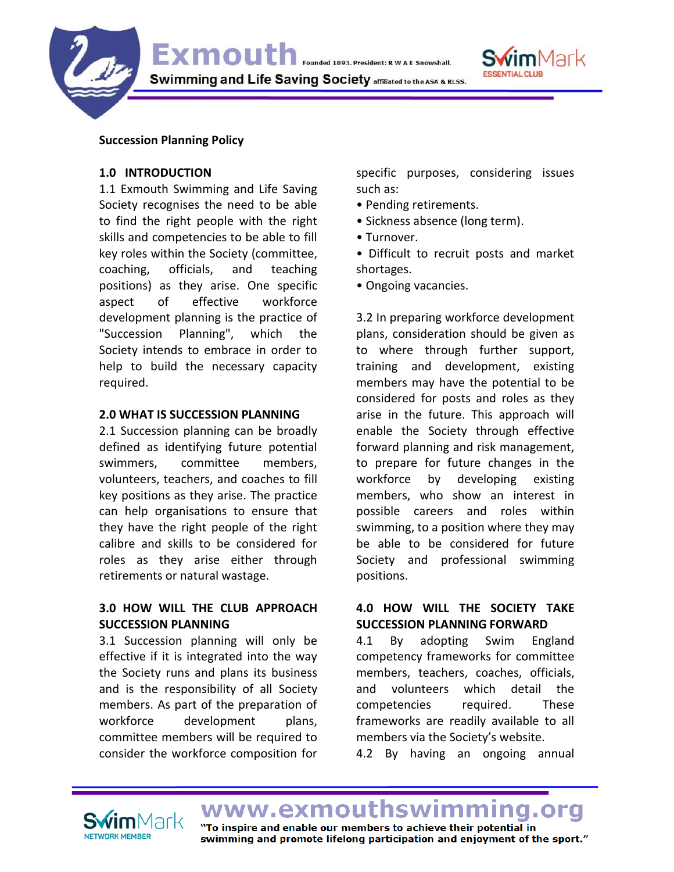

#### **Succession Planning Policy**

### **1.0 INTRODUCTION**

1.1 Exmouth Swimming and Life Saving Society recognises the need to be able to find the right people with the right skills and competencies to be able to fill key roles within the Society (committee, coaching, officials, and teaching positions) as they arise. One specific aspect of effective workforce development planning is the practice of "Succession Planning", which the Society intends to embrace in order to help to build the necessary capacity required.

#### **2.0 WHAT IS SUCCESSION PLANNING**

2.1 Succession planning can be broadly defined as identifying future potential swimmers, committee members, volunteers, teachers, and coaches to fill key positions as they arise. The practice can help organisations to ensure that they have the right people of the right calibre and skills to be considered for roles as they arise either through retirements or natural wastage.

# **3.0 HOW WILL THE CLUB APPROACH SUCCESSION PLANNING**

3.1 Succession planning will only be effective if it is integrated into the way the Society runs and plans its business and is the responsibility of all Society members. As part of the preparation of workforce development plans, committee members will be required to consider the workforce composition for

specific purposes, considering issues such as:

- Pending retirements.
- Sickness absence (long term).
- Turnover.
- Difficult to recruit posts and market shortages.
- Ongoing vacancies.

3.2 In preparing workforce development plans, consideration should be given as to where through further support, training and development, existing members may have the potential to be considered for posts and roles as they arise in the future. This approach will enable the Society through effective forward planning and risk management, to prepare for future changes in the workforce by developing existing members, who show an interest in possible careers and roles within swimming, to a position where they may be able to be considered for future Society and professional swimming positions.

### **4.0 HOW WILL THE SOCIETY TAKE SUCCESSION PLANNING FORWARD**

4.1 By adopting Swim England competency frameworks for committee members, teachers, coaches, officials, and volunteers which detail the competencies required. These frameworks are readily available to all members via the Society's website.

4.2 By having an ongoing annual

NETWORK MEMBER

www.exmouthswir "To inspire and enable our members to achieve their potential in swimming and promote lifelong participation and enjoyment of the sport."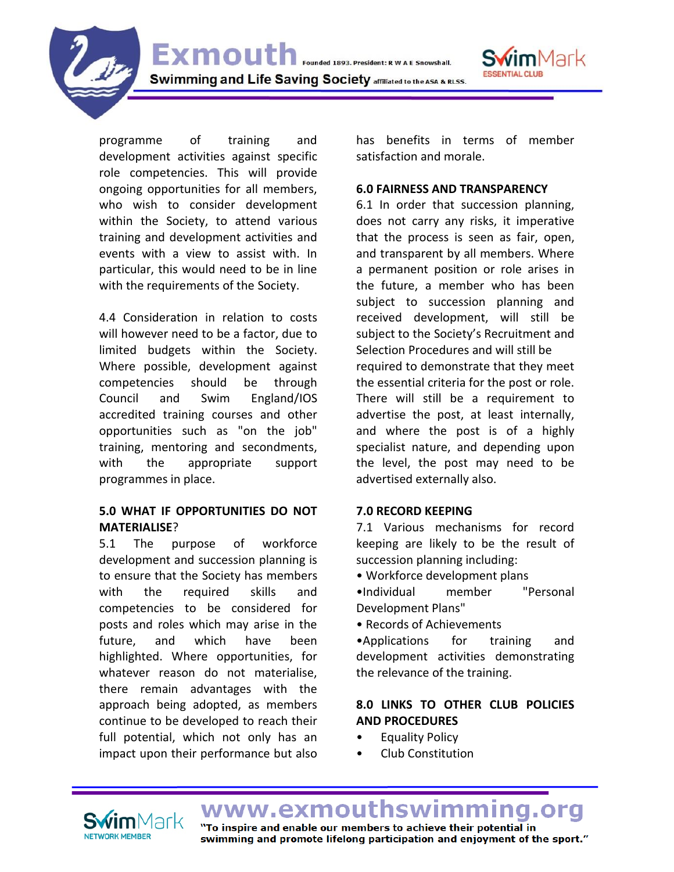Swimming and Life Saving Society affiliated to the ASA & RLSS.

Exmouth Founded 1893. President: R W A E Snowshall.

programme of training and development activities against specific role competencies. This will provide ongoing opportunities for all members, who wish to consider development within the Society, to attend various training and development activities and events with a view to assist with. In particular, this would need to be in line with the requirements of the Society.

4.4 Consideration in relation to costs will however need to be a factor, due to limited budgets within the Society. Where possible, development against competencies should be through Council and Swim England/IOS accredited training courses and other opportunities such as "on the job" training, mentoring and secondments, with the appropriate support programmes in place.

# **5.0 WHAT IF OPPORTUNITIES DO NOT MATERIALISE**?

5.1 The purpose of workforce development and succession planning is to ensure that the Society has members with the required skills and competencies to be considered for posts and roles which may arise in the future, and which have been highlighted. Where opportunities, for whatever reason do not materialise, there remain advantages with the approach being adopted, as members continue to be developed to reach their full potential, which not only has an impact upon their performance but also

has benefits in terms of member satisfaction and morale.

mMark

#### **6.0 FAIRNESS AND TRANSPARENCY**

6.1 In order that succession planning, does not carry any risks, it imperative that the process is seen as fair, open, and transparent by all members. Where a permanent position or role arises in the future, a member who has been subject to succession planning and received development, will still be subject to the Society's Recruitment and Selection Procedures and will still be required to demonstrate that they meet the essential criteria for the post or role. There will still be a requirement to advertise the post, at least internally, and where the post is of a highly specialist nature, and depending upon the level, the post may need to be advertised externally also.

### **7.0 RECORD KEEPING**

7.1 Various mechanisms for record keeping are likely to be the result of succession planning including:

- Workforce development plans
- •Individual member "Personal Development Plans"
- Records of Achievements

•Applications for training and development activities demonstrating the relevance of the training.

# **8.0 LINKS TO OTHER CLUB POLICIES AND PROCEDURES**

- Equality Policy
- Club Constitution

www.exmouth "To inspire and enable our members to achieve their potential in swimming and promote lifelong participation and enjoyment of the sport."